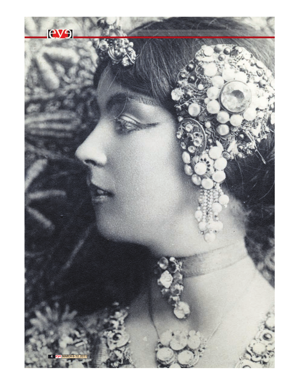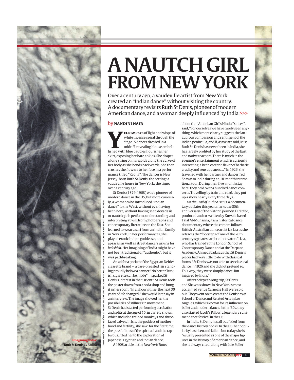

## **A NAUTCH GIRL FROM NEW YORK**

Over a century ago, a vaudeville artist from New York created an "Indian dance" without visiting the country. A documentary revisits Ruth St Denis, pioneer of modern American dance, and a woman deeply influenced by India >>>

## by **nandini nair**

**YELLOW RAYS** of light and wisps of white incense spiral through the stage. A dancer dressed in a midriff-revealing blouse embel-<br>lished with blue baubles flourishes her white incense spiral through the stage. A dancer dressed in a midriff-revealing blouse embellished with blue baubles flourishes her skirt, exposing her bare ankles. She drapes a long string of marigolds along the curve of her body as she bends backwards. She then crushes the flowers to her face in a performance titled "Radha". The dancer is New Jersey-born Ruth St Denis, the setting: a vaudeville house in New York; the time: over a century ago.

St Denis (1879-1968) was a pioneer of modern dance in the US, but more curiously, a woman who introduced "Indian dance" to the West, without ever having been here, without having seen devadasis or nautch girls perform, understanding and interpreting at will from photographs and contemporary literature on the East. She learned to wear a sari from an Indian family in New York. In her performances, she played exotic Indian goddesses and apsaras, as well as street dancers asking for *bakshish*. Her imagining of India might have not been traditional or "authentic", but it was pathbreaking.

An ad for a packet of the Egyptian Deities cigarette brand — a bare-breasted Isis standing proudly below a banner "No better Turkish cigarette can be made" — sparked St Denis's interest in the "Orient". St Denis took the poster down from a soda shop and hung it in her room. "In an hour's time, the next 30 years of life changed," she would later say in an interview. The image showed her the possibilities of stillness in movement. St Denis had started performing acrobatics and splits at the age of 15, in variety shows, which included trained monkeys and threefaced calves. In Isis, the goddess of motherhood and fertility, she saw, for the first time, the possibilities of the spiritual and the rapturous. It led her to the exploration of Japanese, Egyptian and Indian dance.

A 1908 article in the *New York Times*

about the "American Girl's Hindu Dances", said, "For ourselves we have rarely seen anything, which more clearly suggests the languorous compassion and sentiment of the Indian peninsula, and if, as we are told, Miss Ruth St. Denis has never been in India, she has largely profited by her study of the East and native teachers. There is much in the evening's entertainment which is curiously interesting, a keen esoteric flavor of barbaric crudity and sensuousness…" In 1926, she travelled with her partner and dancer Ted Shawn to India during an 18-month international tour. During their five-month stay here, they held over a hundred dance concerts. Travelling by train and road, they put up a show nearly every three days.

*On the Trail of Ruth St Denis*, a documentary out later this year, marks the 85th anniversary of the historic journey. Directed, produced and co-written by Kuwait-based Talal Al-Muhanna, it is a historical dance documentary where the camera follows British-Australian dance artist Liz Lea as she retraces the "footsteps of one of the 20th century's greatest artistic innovators". Lea, who has trained at the London School of Contemporary Dance and at the Darpana Academy, Ahmedabad, says that St Denis's pieces had very little to do with classical forms. "St Denis was not able to see classical dance in 1926 and she did not pretend so. This way, they were simply dance. But inspired by India."

After their year-long trip, St Denis and Shawn's shows in New York's mostacclaimed venue Carnegie Hall were sold out. They went on to create the Denishawn School of Dance and Related Arts in Los Angeles, which is known for its influence on ballet and modern dance. In the '30s, they also started Jacob's Pillow, a legendary summer dance festival in the US.

In India, St Denis has all but faded from the dance history books. In the US, her popularity has risen and fallen; but today she is "usually presented as one of the major figures in the history of American dance, and she is always cited, along with Loie Fuller